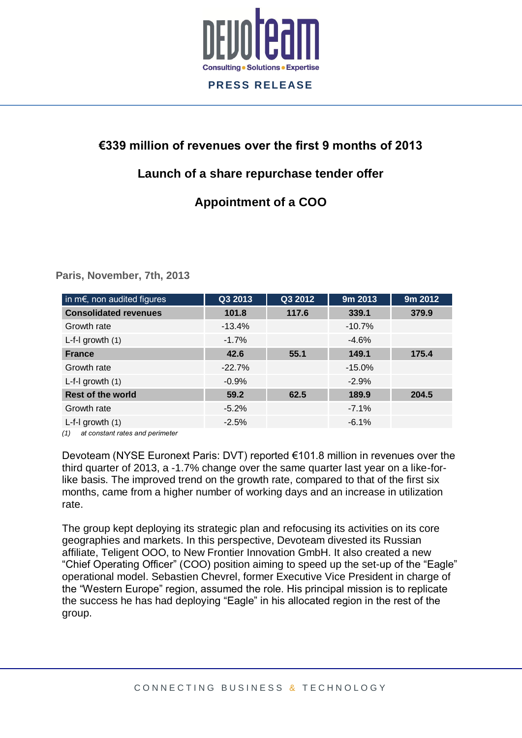

# **€339 million of revenues over the first 9 months of 2013**

# **Launch of a share repurchase tender offer**

# **Appointment of a COO**

**Paris, November, 7th, 2013**

| in $m \in$ , non audited figures | Q3 2013  | Q3 2012 | 9m 2013   | 9m 2012 |
|----------------------------------|----------|---------|-----------|---------|
| <b>Consolidated revenues</b>     | 101.8    | 117.6   | 339.1     | 379.9   |
| Growth rate                      | $-13.4%$ |         | $-10.7%$  |         |
| $L-f-I$ growth $(1)$             | $-1.7%$  |         | $-4.6%$   |         |
| <b>France</b>                    | 42.6     | 55.1    | 149.1     | 175.4   |
| Growth rate                      | $-22.7%$ |         | $-15.0\%$ |         |
| $L-f-I$ growth $(1)$             | $-0.9%$  |         | $-2.9%$   |         |
| <b>Rest of the world</b>         | 59.2     | 62.5    | 189.9     | 204.5   |
| Growth rate                      | $-5.2\%$ |         | $-7.1%$   |         |
| $L-f-I$ growth $(1)$             | $-2.5%$  |         | $-6.1%$   |         |

*(1) at constant rates and perimeter* 

Devoteam (NYSE Euronext Paris: DVT) reported €101.8 million in revenues over the third quarter of 2013, a -1.7% change over the same quarter last year on a like-forlike basis. The improved trend on the growth rate, compared to that of the first six months, came from a higher number of working days and an increase in utilization rate.

The group kept deploying its strategic plan and refocusing its activities on its core geographies and markets. In this perspective, Devoteam divested its Russian affiliate, Teligent OOO, to New Frontier Innovation GmbH. It also created a new "Chief Operating Officer" (COO) position aiming to speed up the set-up of the "Eagle" operational model. Sebastien Chevrel, former Executive Vice President in charge of the "Western Europe" region, assumed the role. His principal mission is to replicate the success he has had deploying "Eagle" in his allocated region in the rest of the group.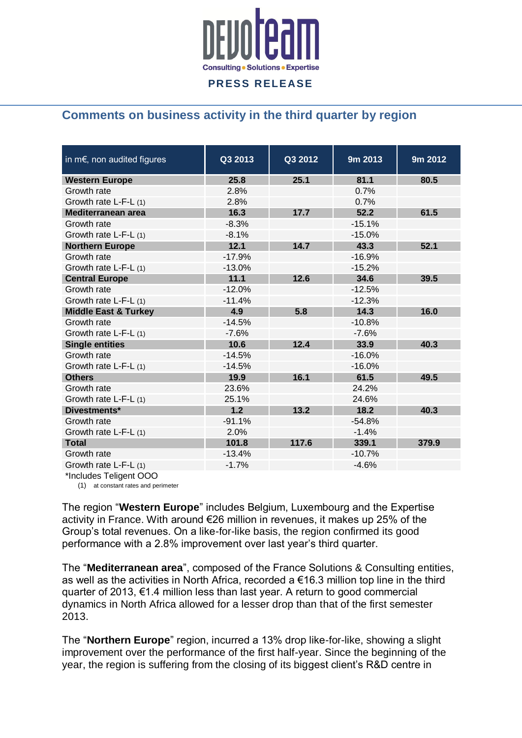

## **Comments on business activity in the third quarter by region**

| in $m \in$ , non audited figures | Q3 2013  | Q3 2012 | 9m 2013  | 9m 2012 |
|----------------------------------|----------|---------|----------|---------|
| <b>Western Europe</b>            | 25.8     | 25.1    | 81.1     | 80.5    |
| Growth rate                      | 2.8%     |         | 0.7%     |         |
| Growth rate L-F-L (1)            | 2.8%     |         | 0.7%     |         |
| Mediterranean area               | 16.3     | 17.7    | 52.2     | 61.5    |
| Growth rate                      | $-8.3%$  |         | $-15.1%$ |         |
| Growth rate L-F-L (1)            | $-8.1%$  |         | $-15.0%$ |         |
| <b>Northern Europe</b>           | 12.1     | 14.7    | 43.3     | 52.1    |
| Growth rate                      | $-17.9%$ |         | $-16.9%$ |         |
| Growth rate L-F-L (1)            | $-13.0%$ |         | $-15.2%$ |         |
| <b>Central Europe</b>            | 11.1     | 12.6    | 34.6     | 39.5    |
| Growth rate                      | $-12.0%$ |         | $-12.5%$ |         |
| Growth rate L-F-L (1)            | $-11.4%$ |         | $-12.3%$ |         |
| <b>Middle East &amp; Turkey</b>  | 4.9      | 5.8     | 14.3     | 16.0    |
| Growth rate                      | $-14.5%$ |         | $-10.8%$ |         |
| Growth rate L-F-L (1)            | $-7.6%$  |         | $-7.6%$  |         |
| <b>Single entities</b>           | 10.6     | 12.4    | 33.9     | 40.3    |
| Growth rate                      | $-14.5%$ |         | $-16.0%$ |         |
| Growth rate L-F-L (1)            | $-14.5%$ |         | $-16.0%$ |         |
| <b>Others</b>                    | 19.9     | 16.1    | 61.5     | 49.5    |
| Growth rate                      | 23.6%    |         | 24.2%    |         |
| Growth rate L-F-L (1)            | 25.1%    |         | 24.6%    |         |
| Divestments*                     | 1.2      | 13.2    | 18.2     | 40.3    |
| Growth rate                      | $-91.1%$ |         | $-54.8%$ |         |
| Growth rate L-F-L (1)            | 2.0%     |         | $-1.4%$  |         |
| <b>Total</b>                     | 101.8    | 117.6   | 339.1    | 379.9   |
| Growth rate                      | $-13.4%$ |         | $-10.7%$ |         |
| Growth rate L-F-L (1)            | $-1.7%$  |         | $-4.6%$  |         |

\*Includes Teligent OOO

(1) at constant rates and perimeter

The region "**Western Europe**" includes Belgium, Luxembourg and the Expertise activity in France. With around €26 million in revenues, it makes up 25% of the Group's total revenues. On a like-for-like basis, the region confirmed its good performance with a 2.8% improvement over last year's third quarter.

The "**Mediterranean area**", composed of the France Solutions & Consulting entities, as well as the activities in North Africa, recorded a €16.3 million top line in the third quarter of 2013, €1.4 million less than last year. A return to good commercial dynamics in North Africa allowed for a lesser drop than that of the first semester 2013.

The "**Northern Europe**" region, incurred a 13% drop like-for-like, showing a slight improvement over the performance of the first half-year. Since the beginning of the year, the region is suffering from the closing of its biggest client's R&D centre in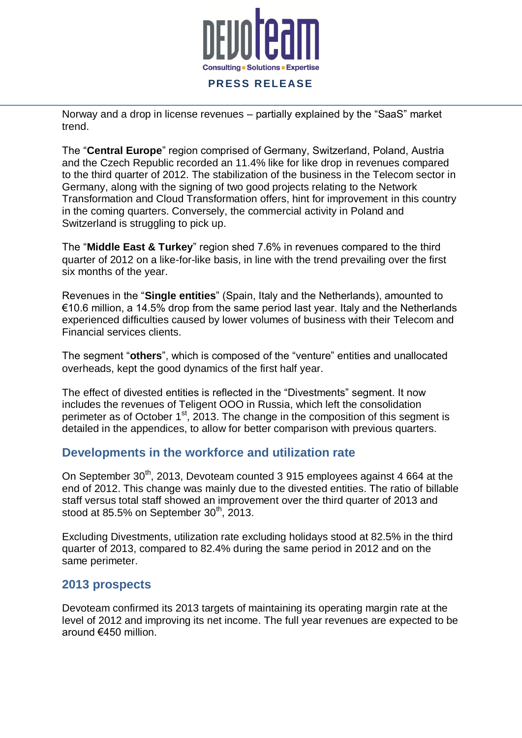

Norway and a drop in license revenues – partially explained by the "SaaS" market trend.

The "**Central Europe**" region comprised of Germany, Switzerland, Poland, Austria and the Czech Republic recorded an 11.4% like for like drop in revenues compared to the third quarter of 2012. The stabilization of the business in the Telecom sector in Germany, along with the signing of two good projects relating to the Network Transformation and Cloud Transformation offers, hint for improvement in this country in the coming quarters. Conversely, the commercial activity in Poland and Switzerland is struggling to pick up.

The "**Middle East & Turkey**" region shed 7.6% in revenues compared to the third quarter of 2012 on a like-for-like basis, in line with the trend prevailing over the first six months of the year.

Revenues in the "**Single entities**" (Spain, Italy and the Netherlands), amounted to €10.6 million, a 14.5% drop from the same period last year. Italy and the Netherlands experienced difficulties caused by lower volumes of business with their Telecom and Financial services clients.

The segment "**others**", which is composed of the "venture" entities and unallocated overheads, kept the good dynamics of the first half year.

The effect of divested entities is reflected in the "Divestments" segment. It now includes the revenues of Teligent OOO in Russia, which left the consolidation perimeter as of October 1<sup>st</sup>, 2013. The change in the composition of this segment is detailed in the appendices, to allow for better comparison with previous quarters.

### **Developments in the workforce and utilization rate**

On September  $30<sup>th</sup>$ , 2013, Devoteam counted 3 915 employees against 4 664 at the end of 2012. This change was mainly due to the divested entities. The ratio of billable staff versus total staff showed an improvement over the third quarter of 2013 and stood at 85.5% on September  $30<sup>th</sup>$ , 2013.

Excluding Divestments, utilization rate excluding holidays stood at 82.5% in the third quarter of 2013, compared to 82.4% during the same period in 2012 and on the same perimeter.

### **2013 prospects**

Devoteam confirmed its 2013 targets of maintaining its operating margin rate at the level of 2012 and improving its net income. The full year revenues are expected to be around €450 million.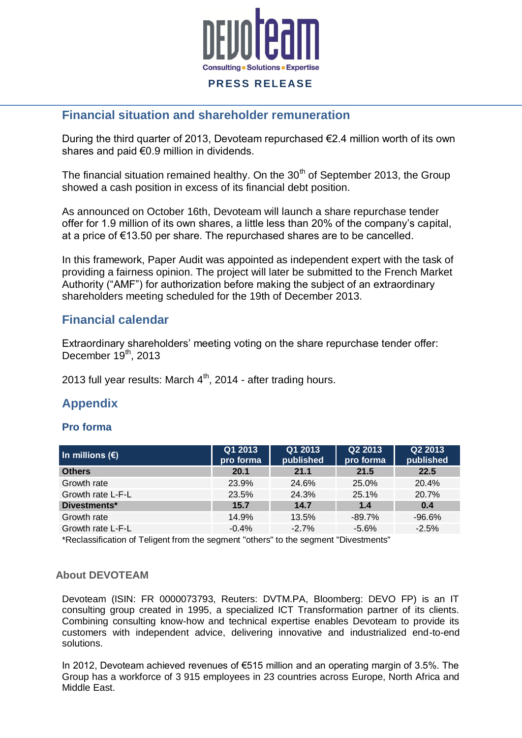

### **Financial situation and shareholder remuneration**

During the third quarter of 2013, Devoteam repurchased €2.4 million worth of its own shares and paid €0.9 million in dividends.

The financial situation remained healthy. On the  $30<sup>th</sup>$  of September 2013, the Group showed a cash position in excess of its financial debt position.

As announced on October 16th, Devoteam will launch a share repurchase tender offer for 1.9 million of its own shares, a little less than 20% of the company's capital, at a price of €13.50 per share. The repurchased shares are to be cancelled.

In this framework, Paper Audit was appointed as independent expert with the task of providing a fairness opinion. The project will later be submitted to the French Market Authority ("AMF") for authorization before making the subject of an extraordinary shareholders meeting scheduled for the 19th of December 2013.

### **Financial calendar**

Extraordinary shareholders' meeting voting on the share repurchase tender offer: December 19<sup>th</sup>, 2013

2013 full year results: March  $4<sup>th</sup>$ , 2014 - after trading hours.

## **Appendix**

#### **Pro forma**

| Q1 2013<br>pro forma | Q1 2013<br>published | Q2 2013<br>pro forma | Q2 2013<br>published |
|----------------------|----------------------|----------------------|----------------------|
| 20.1                 | 21.1                 | 21.5                 | 22.5                 |
| 23.9%                | 24.6%                | 25.0%                | 20.4%                |
| 23.5%                | 24.3%                | 25.1%                | 20.7%                |
| 15.7                 | 14.7                 | 1.4                  | 0.4                  |
| 14.9%                | 13.5%                | $-89.7%$             | $-96.6%$             |
| $-0.4%$              | $-2.7%$              | $-5.6%$              | $-2.5%$              |
|                      |                      |                      |                      |

\*Reclassification of Teligent from the segment "others" to the segment "Divestments"

#### **About DEVOTEAM**

Devoteam (ISIN: FR 0000073793, Reuters: DVTM.PA, Bloomberg: DEVO FP) is an IT consulting group created in 1995, a specialized ICT Transformation partner of its clients. Combining consulting know-how and technical expertise enables Devoteam to provide its customers with independent advice, delivering innovative and industrialized end-to-end solutions.

In 2012, Devoteam achieved revenues of €515 million and an operating margin of 3.5%. The Group has a workforce of 3 915 employees in 23 countries across Europe, North Africa and Middle East.